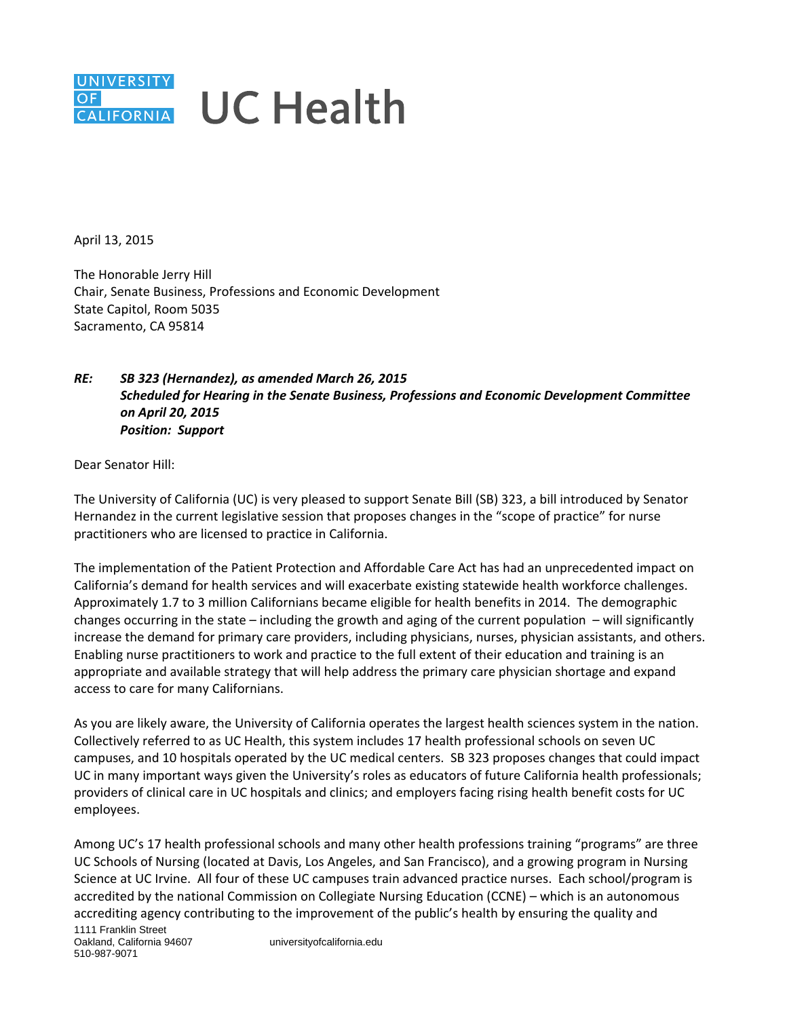## **UNIVERSITY UC Health**  $OF$ CALIFORNIA

April 13, 2015

The Honorable Jerry Hill Chair, Senate Business, Professions and Economic Development State Capitol, Room 5035 Sacramento, CA 95814

## *RE: SB 323 (Hernandez), as amended March 26, 2015 Scheduled for Hearing in the Senate Business, Professions and Economic Development Committee on April 20, 2015 Position: Support*

Dear Senator Hill:

The University of California (UC) is very pleased to support Senate Bill (SB) 323, a bill introduced by Senator Hernandez in the current legislative session that proposes changes in the "scope of practice" for nurse practitioners who are licensed to practice in California.

The implementation of the Patient Protection and Affordable Care Act has had an unprecedented impact on California's demand for health services and will exacerbate existing statewide health workforce challenges. Approximately 1.7 to 3 million Californians became eligible for health benefits in 2014. The demographic changes occurring in the state – including the growth and aging of the current population  $-$  will significantly increase the demand for primary care providers, including physicians, nurses, physician assistants, and others. Enabling nurse practitioners to work and practice to the full extent of their education and training is an appropriate and available strategy that will help address the primary care physician shortage and expand access to care for many Californians.

As you are likely aware, the University of California operates the largest health sciences system in the nation. Collectively referred to as UC Health, this system includes 17 health professional schools on seven UC campuses, and 10 hospitals operated by the UC medical centers. SB 323 proposes changes that could impact UC in many important ways given the University's roles as educators of future California health professionals; providers of clinical care in UC hospitals and clinics; and employers facing rising health benefit costs for UC employees.

Among UC's 17 health professional schools and many other health professions training "programs" are three UC Schools of Nursing (located at Davis, Los Angeles, and San Francisco), and a growing program in Nursing Science at UC Irvine. All four of these UC campuses train advanced practice nurses. Each school/program is accredited by the national Commission on Collegiate Nursing Education (CCNE) – which is an autonomous accrediting agency contributing to the improvement of the public's health by ensuring the quality and

1111 Franklin Street Oakland, California 94607 510-987-9071

universityofcalifornia.edu